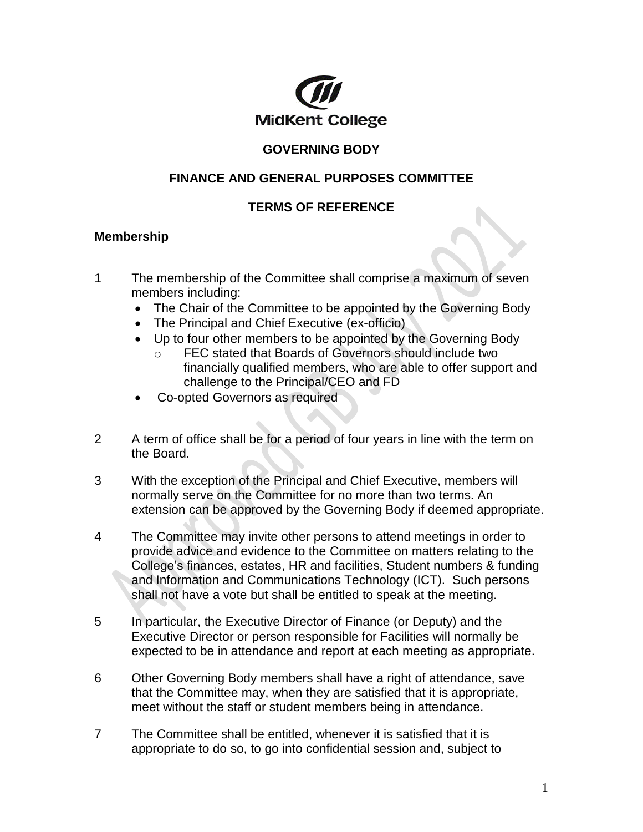

## **GOVERNING BODY**

## **FINANCE AND GENERAL PURPOSES COMMITTEE**

## **TERMS OF REFERENCE**

### **Membership**

- 1 The membership of the Committee shall comprise a maximum of seven members including:
	- The Chair of the Committee to be appointed by the Governing Body
	- The Principal and Chief Executive (ex-officio)
	- Up to four other members to be appointed by the Governing Body
		- o FEC stated that Boards of Governors should include two financially qualified members, who are able to offer support and challenge to the Principal/CEO and FD
	- Co-opted Governors as required
- 2 A term of office shall be for a period of four years in line with the term on the Board.
- 3 With the exception of the Principal and Chief Executive, members will normally serve on the Committee for no more than two terms. An extension can be approved by the Governing Body if deemed appropriate.
- 4 The Committee may invite other persons to attend meetings in order to provide advice and evidence to the Committee on matters relating to the College's finances, estates, HR and facilities, Student numbers & funding and Information and Communications Technology (ICT). Such persons shall not have a vote but shall be entitled to speak at the meeting.
- 5 In particular, the Executive Director of Finance (or Deputy) and the Executive Director or person responsible for Facilities will normally be expected to be in attendance and report at each meeting as appropriate.
- 6 Other Governing Body members shall have a right of attendance, save that the Committee may, when they are satisfied that it is appropriate, meet without the staff or student members being in attendance.
- 7 The Committee shall be entitled, whenever it is satisfied that it is appropriate to do so, to go into confidential session and, subject to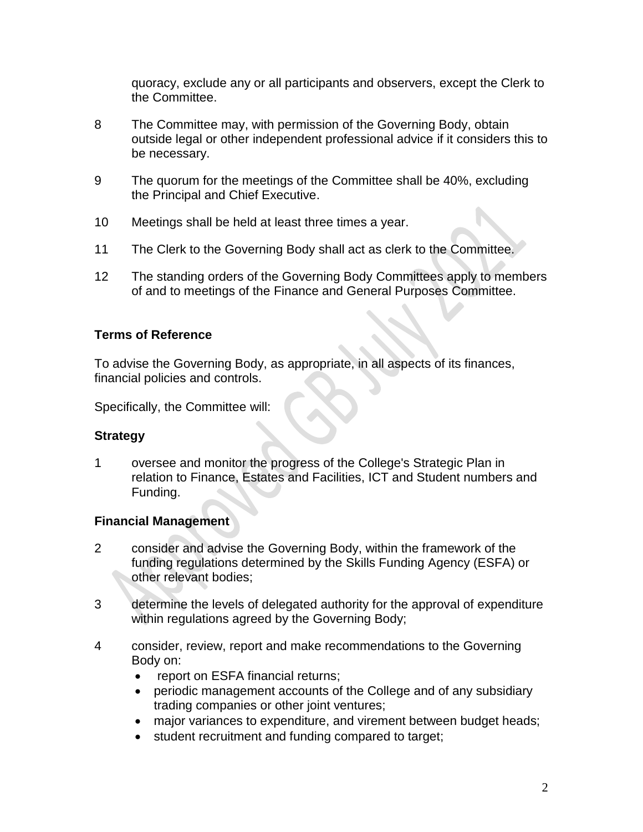quoracy, exclude any or all participants and observers, except the Clerk to the Committee.

- 8 The Committee may, with permission of the Governing Body, obtain outside legal or other independent professional advice if it considers this to be necessary.
- 9 The quorum for the meetings of the Committee shall be 40%, excluding the Principal and Chief Executive.
- 10 Meetings shall be held at least three times a year.
- 11 The Clerk to the Governing Body shall act as clerk to the Committee.
- 12 The standing orders of the Governing Body Committees apply to members of and to meetings of the Finance and General Purposes Committee.

#### **Terms of Reference**

To advise the Governing Body, as appropriate, in all aspects of its finances, financial policies and controls.

Specifically, the Committee will:

#### **Strategy**

1 oversee and monitor the progress of the College's Strategic Plan in relation to Finance, Estates and Facilities, ICT and Student numbers and Funding.

#### **Financial Management**

- 2 consider and advise the Governing Body, within the framework of the funding regulations determined by the Skills Funding Agency (ESFA) or other relevant bodies;
- 3 determine the levels of delegated authority for the approval of expenditure within regulations agreed by the Governing Body;
- 4 consider, review, report and make recommendations to the Governing Body on:
	- report on ESFA financial returns;
	- periodic management accounts of the College and of any subsidiary trading companies or other joint ventures;
	- major variances to expenditure, and virement between budget heads;
	- student recruitment and funding compared to target;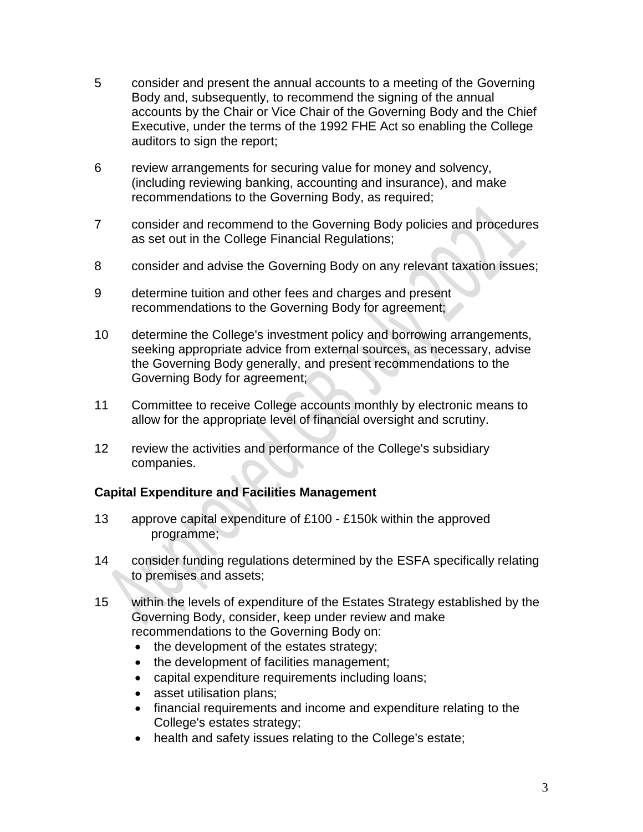- 5 consider and present the annual accounts to a meeting of the Governing Body and, subsequently, to recommend the signing of the annual accounts by the Chair or Vice Chair of the Governing Body and the Chief Executive, under the terms of the 1992 FHE Act so enabling the College auditors to sign the report;
- 6 review arrangements for securing value for money and solvency, (including reviewing banking, accounting and insurance), and make recommendations to the Governing Body, as required;
- 7 consider and recommend to the Governing Body policies and procedures as set out in the College Financial Regulations;
- 8 consider and advise the Governing Body on any relevant taxation issues;
- 9 determine tuition and other fees and charges and present recommendations to the Governing Body for agreement;
- 10 determine the College's investment policy and borrowing arrangements, seeking appropriate advice from external sources, as necessary, advise the Governing Body generally, and present recommendations to the Governing Body for agreement;
- 11 Committee to receive College accounts monthly by electronic means to allow for the appropriate level of financial oversight and scrutiny.
- 12 review the activities and performance of the College's subsidiary companies.

#### **Capital Expenditure and Facilities Management**

- 13 approve capital expenditure of £100 £150k within the approved programme;
- 14 consider funding regulations determined by the ESFA specifically relating to premises and assets;
- 15 within the levels of expenditure of the Estates Strategy established by the Governing Body, consider, keep under review and make recommendations to the Governing Body on:
	- the development of the estates strategy;
	- the development of facilities management;
	- capital expenditure requirements including loans;
	- asset utilisation plans;
	- financial requirements and income and expenditure relating to the College's estates strategy;
	- health and safety issues relating to the College's estate;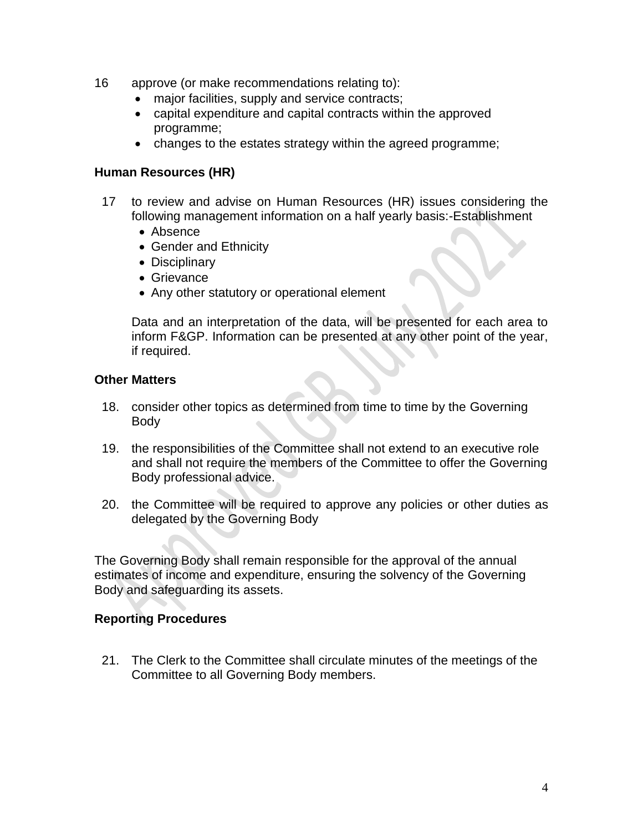- 16 approve (or make recommendations relating to):
	- major facilities, supply and service contracts;
	- capital expenditure and capital contracts within the approved programme;
	- changes to the estates strategy within the agreed programme;

#### **Human Resources (HR)**

- 17 to review and advise on Human Resources (HR) issues considering the following management information on a half yearly basis:-Establishment
	- Absence
	- Gender and Ethnicity
	- Disciplinary
	- Grievance
	- Any other statutory or operational element

Data and an interpretation of the data, will be presented for each area to inform F&GP. Information can be presented at any other point of the year, if required.

#### **Other Matters**

- 18. consider other topics as determined from time to time by the Governing Body
- 19. the responsibilities of the Committee shall not extend to an executive role and shall not require the members of the Committee to offer the Governing Body professional advice.
- 20. the Committee will be required to approve any policies or other duties as delegated by the Governing Body

The Governing Body shall remain responsible for the approval of the annual estimates of income and expenditure, ensuring the solvency of the Governing Body and safeguarding its assets.

#### **Reporting Procedures**

21. The Clerk to the Committee shall circulate minutes of the meetings of the Committee to all Governing Body members.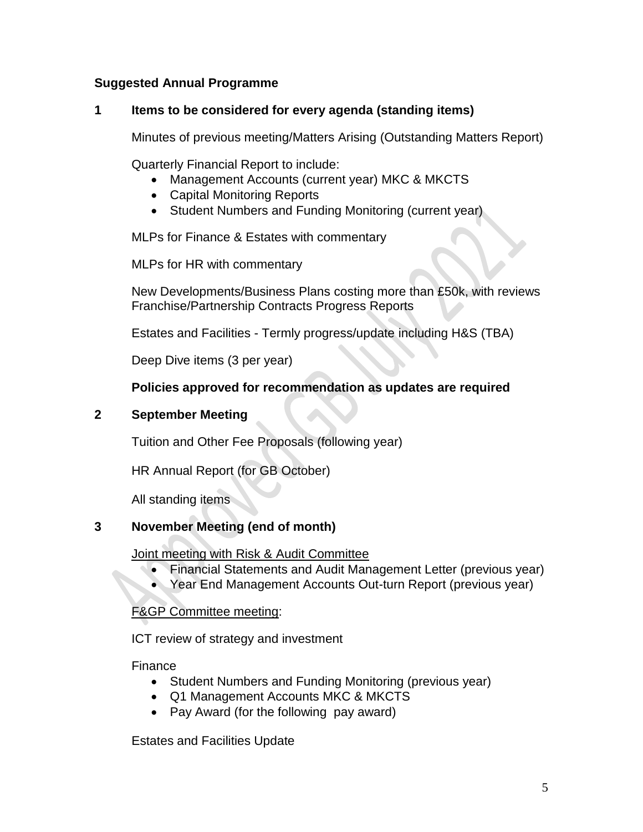### **Suggested Annual Programme**

#### **1 Items to be considered for every agenda (standing items)**

Minutes of previous meeting/Matters Arising (Outstanding Matters Report)

Quarterly Financial Report to include:

- Management Accounts (current year) MKC & MKCTS
- Capital Monitoring Reports
- Student Numbers and Funding Monitoring (current year)

MLPs for Finance & Estates with commentary

MLPs for HR with commentary

New Developments/Business Plans costing more than £50k, with reviews Franchise/Partnership Contracts Progress Reports

Estates and Facilities - Termly progress/update including H&S (TBA)

Deep Dive items (3 per year)

### **Policies approved for recommendation as updates are required**

#### **2 September Meeting**

Tuition and Other Fee Proposals (following year)

HR Annual Report (for GB October)

All standing items

#### **3 November Meeting (end of month)**

Joint meeting with Risk & Audit Committee

- Financial Statements and Audit Management Letter (previous year)
- Year End Management Accounts Out-turn Report (previous year)

### F&GP Committee meeting:

ICT review of strategy and investment

Finance

- Student Numbers and Funding Monitoring (previous year)
- Q1 Management Accounts MKC & MKCTS
- Pay Award (for the following pay award)

Estates and Facilities Update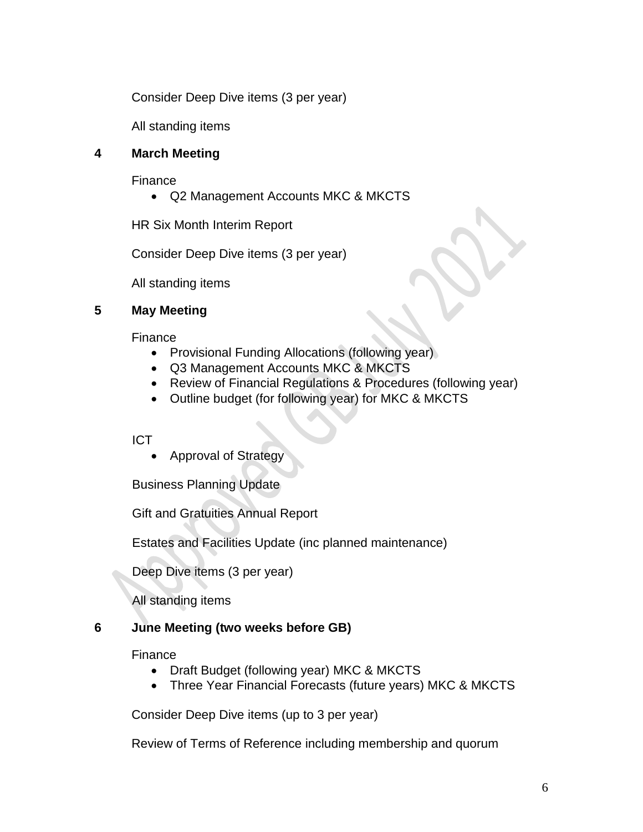Consider Deep Dive items (3 per year)

All standing items

## **4 March Meeting**

Finance

Q2 Management Accounts MKC & MKCTS

HR Six Month Interim Report

Consider Deep Dive items (3 per year)

All standing items

## **5 May Meeting**

Finance

- Provisional Funding Allocations (following year)
- Q3 Management Accounts MKC & MKCTS
- Review of Financial Regulations & Procedures (following year)
- Outline budget (for following year) for MKC & MKCTS

### ICT

Approval of Strategy

Business Planning Update

Gift and Gratuities Annual Report

Estates and Facilities Update (inc planned maintenance)

Deep Dive items (3 per year)

All standing items

# **6 June Meeting (two weeks before GB)**

### Finance

- Draft Budget (following year) MKC & MKCTS
- Three Year Financial Forecasts (future years) MKC & MKCTS

Consider Deep Dive items (up to 3 per year)

Review of Terms of Reference including membership and quorum